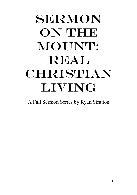# **SERMON** ON THE MOUNT: **REAL CHRISTIAN** Living

A Fall Sermon Series by Ryan Stratton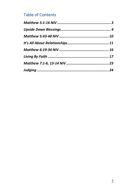## **Table of Contents**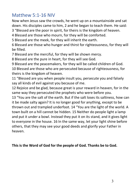## Matthew 5:1-16 NIV

Now when Jesus saw the crowds, he went up on a mountainside and sat down. His disciples came to him, 2 and he began to teach them. He said:

3 "Blessed are the poor in spirit, for theirs is the kingdom of heaven.

4 Blessed are those who mourn, for they will be comforted.

5 Blessed are the meek, for they will inherit the earth.

6 Blessed are those who hunger and thirst for righteousness, for they will be filled.

7 Blessed are the merciful, for they will be shown mercy.

8 Blessed are the pure in heart, for they will see God.

9 Blessed are the peacemakers, for they will be called children of God. 10 Blessed are those who are persecuted because of righteousness, for theirs is the kingdom of heaven.

11 "Blessed are you when people insult you, persecute you and falsely say all kinds of evil against you because of me.

12 Rejoice and be glad, because great is your reward in heaven, for in the same way they persecuted the prophets who were before you.

13 "You are the salt of the earth. But if the salt loses its saltiness, how can it be made salty again? It is no longer good for anything, except to be thrown out and trampled underfoot. 14 "You are the light of the world. A town built on a hill cannot be hidden. 15 Neither do people light a lamp and put it under a bowl. Instead they put it on its stand, and it gives light to everyone in the house. 16 In the same way, let your light shine before others, that they may see your good deeds and glorify your Father in heaven.

**This is the Word of God for the people of God. Thanks be to God.**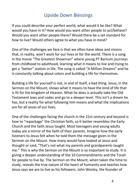## Upside Down Blessings

If you could describe your perfect world, what would it be like? What would you have in it? How would you want other people to act/behave? Would you want other people there? Would there be a set standard for how to live? Would others agree to what you have in mind?

One of the challenges we face is that we often have ideas and visions that, in reality, won't work for our lives or for the world. There is a song in the movie "The Greatest Showman" where young PT Barnum journeys from childhood to adulthood, learning what it means to live and trying to get a "better" station in life. The song is called "A Million Dreams" and he is constantly talking about colors and building a life for themselves.

Building a life for yourself is not, in and of itself, a bad thing. Jesus, in the Sermon on the Mount, shows what it means to have the kind of life that is fit for the kingdom of Heaven. What he does is actually take the Old Testament laws and codes and go to a deeper level. This isn't a dream he has, but a reality for what following him means and what the implications are for all areas of our lives.

One of the challenges facing the church in the 21st century and beyond is how to "repackage" the Christian faith, so it better resembles the Early Church and the faith Jesus taught. Most teenagers and young adults today are a mirror of the faith of their parents. Imagine how the early listeners to Jesus felt when he told them the message given in the Sermon on the Mount. How many would have looked at Jesus and thought or said, "That's not what my parents and grandparents taught me." This is why the Sermon on the Mount is so important to study. It is giving a deeper understanding of the 10 Commandments and the Torah for people to live by. The Sermon on the Mount, when taken the time to study, reveals the true nature of the heart of humanity and teaches how Jesus says we are to live as his followers. John Wesley, the founder of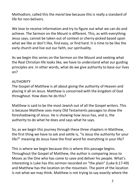Methodism, called this the *moral law* because this is really a standard of life for non-belivers.

We love to receive information and try to figure out what we can do and achieve. The Sermon on the Mount is different. This, as with everything Jesus says, cannot be taken out of context or cherry-picked based upon what we like or don't like, find easy, or find hard. It is time to be like the early church and live out our faith, our spirituality.

As we begin this series on the Sermon on the Mount and seeking what the Real Christian life looks like, we have to understand what our guiding principles are. In other words, what do we give authority to base our lives on?

#### **AUTHORITY**

The Gospel of Matthew is all about giving the authority of Heaven and placing it all on Jesus. Matthew is concerned with the kingdom of God throughout. How does he do this?

Matthew is said to be the most Jewish out of all the Gospel writers. This is because Matthew uses many Old Testaments passages to show the foreshadowing of Jesus. He is showing how Jesus has, and is, the authority to do what he does and says what he says.

So, as we begin this journey through these three chapters in Matthew, the first thing we have to ask and settle is, "Is Jesus the authority for your life?" meaning do Jesus have the final word for everything in your life?

This is where we begin because this is where this passage begins. Throughout the Gospel of Matthew, the author is comparing Jesus to Moses as the One who has come to save and deliver his people. What's interesting is Luke has this sermon recorded on "the plain" (Luke 6:17-49) and Matthew has the location on the mountain. The point of the location is not what we may think. Matthew is not trying to say exactly where the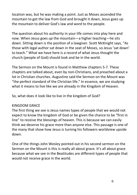location was, but he was making a point. Just as Moses ascended the mountain to get the law from God and brought it down, Jesus goes up the mountain to deliver God's law and word to the people.

The question about his authority in your life comes into play here and now. When Jesus goes *up* the mountain—a higher teaching—he sits down. Sitting down is the position of a lawgiver. Scott McKnight says, "As those with legal author sat down in the seat of Moses, so Jesus 'sat down' to teach." What we have here is a record of what Jesus thought the church (people of God) should look and be in the world.

The Sermon on the Mount is found in Matthew chapters 5-7. These chapters are talked about, even by non-Christians, and preached about a lot in Christian churches. Augustine said the Sermon on the Mount was "the perfect standard of the Christian life." In essence, we are studying what it means to live like we are already in the Kingdom of Heaven.

So, what does it look like to live in the kingdom of God?

#### KINGDOM GRACE

The first thing we see is Jesus names types of people that we would not expect to know the kingdom of God or be given the chance to be "first in line" to receive the blessings of heaven. This is because we can easily think we deserve his grace more than anyone else. This passage is one of the many that show how Jesus is turning his followers worldview upside down.

One of the things John Wesley pointed out in his second sermon on the Sermon on the Mount is this is really all about grace. It's all about grace because what we see in the Beatitudes are different types of people that would not receive grace in the world.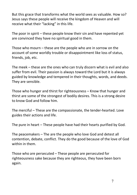But this grace that transforms what the world sees as valuable. How so? Jesus says these people will receive the kingdom of Heaven and will receive what their "lacking" in this life.

The poor in spirit – these people know their sin and have repented yet are convinced they have no spiritual good in them.

Those who mourn – these are the people who are in sorrow on the account of some worldly trouble or disappointment like loss of status, friends, job, etc.

The meek – these are the ones who can truly discern what is evil and also suffer from evil. Their passion is always toward the Lord but it is always guided by knowledge and tempered in their thoughts, words, and deeds. They are sensible.

Those who hunger and thirst for righteousness – Know that hunger and thirst are some of the strongest of bodily desires. This is a strong desire to know God and follow him.

The merciful – These are the compassionate, the tender-hearted. Love guides their actions and life.

The pure in heart – These people have had their hearts purified by God.

The peacemakers – The are the people who love God and detest all contention, debate, conflict. They do the good because of the love of God within in them.

Those who are persecuted – These people are persecuted for righteousness sake because they are righteous, they have been born again.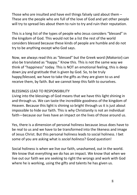Those who are insulted and have evil things falsely said about them – These are the people who are full of the love of God and yet other people will try to spread lies about them to ruin to try and ruin their reputation.

This is a long list of the types of people who Jesus considers "blessed" in the kingdom of God. This would not be a list the rest of the world considers blessed because these kinds of people are humble and do not try to be anything except who God says.

Now, we always read this as "blessed" but the Greek word (*Makarioi*) can also be translated as "happy." Know this. This is not the same way we think of "happiness" today. This is NOT an emotional feeling, this is deep down joy and gratitude that is given by God. So, to be truly happy/blessed, we have to take the gifts as they are given to us and receive them, by faith. But we cannot keep this faith to ourselves.

### BLESSINGS LEAD TO RESPONSIBILITY

Living into the blessings of God means that we have this light shining in and through us. We can taste the incredible goodness of the kingdom of Heaven. Because this light is shining so bright through us it is just about impossible to hide our faith. This is why Christianity is not an individual faith—because our lives have an impact on the lives of those around us.

Yes, there is a dimension of personal holiness because Jesus does have to be real to us and we have to be transformed into the likeness and image of Jesus Christ. But this personal holiness leads to social holiness. I bet some of you are asking what is *social holiness*? Good question!

Social holiness is when we live our faith, unashamed, out in the world. We know that everything we do has an impact. We know that when we live out our faith we are seeking to right the wrongs and work with God where he is working, using the gifts and talents he has given us.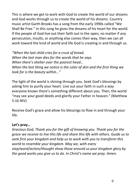This is where we get to work with God to create the world of our dreams and God works through us to create the world of his dreams. Country music artist Garth Brooks has a song from the early 1990s called "We Shall Be Free." In this song he gives the dreams of his heart for the world. If the people of God live out their faith out in the open, no matter if any persecution, insults, or anything else comes their way, then we can all work toward the kind of world and life God is creating in and through us.

*"When the last child cries for a crust of bread. When the last man dies for the words that he says. When there's shelter over the poorest head… When the last thing we notice is the color of skin and the first thing we look for is the beauty within…"*

The light of the world is shining through you. Seek God's blessings by asking him to purify your heart. Live out your faith in such a way everyone knows there's something different about you. Then, the world "may see your good deeds and glorify your Father in heaven." (Matthew 5:16 NIV)

Receive God's grace and allow his blessings to flow in and through your life.

#### **Let's pray…**

*Gracious God, Thank you for the gift of knowing you. Thank you for the grace we receive to live this life and share this life with others. Guide us to seek first your kingdom and help us to work with you to transform this world to resemble your kingdom. May we, with every step/word/action/thought show those around us your kingdom glory by the good works you give us to do. In Christ's name we pray. Amen.*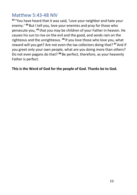## Matthew 5:43-48 NIV

**<sup>43</sup>** "You have heard that it was said, 'Love your neighbor and hate your enemy.' **<sup>44</sup>** But I tell you, love your enemies and pray for those who persecute you, **<sup>45</sup>** that you may be children of your Father in heaven. He causes his sun to rise on the evil and the good, and sends rain on the righteous and the unrighteous. **<sup>46</sup>** If you love those who love you, what reward will you get? Are not even the tax collectors doing that? **<sup>47</sup>** And if you greet only your own people, what are you doing more than others? Do not even pagans do that? **<sup>48</sup>** Be perfect, therefore, as your heavenly Father is perfect.

**This is the Word of God for the people of God. Thanks be to God.**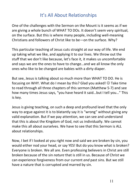## It's All About Relationships

One of the challenges with the Sermon on the Mount is it seems as if we are giving a whole bunch of WHAT TO DOs. It doesn't seem very spiritual, on the surface. But this is where many people, including well-meaning Christians and followers of Christ like to be—on the surface. Why?

This particular teaching of Jesus cuts straight at our way of life. We end up taking what we like, and applying it to our lives. We throw out the stuff that we don't like because, let's face it, it makes us uncomfortable and says we are the ones to have to change…and we all know the only ones who like to be changed are babies with a dirty diaper.

But see, Jesus is talking about so much more than WHAT TO DO. He is focusing on WHY. What do I mean by this? Glad you asked!  $\odot$  Take time to read through all three chapters of this sermon (Matthew 5-7) and see how many times Jesus says, "you have heard it said…but I tell you…" This is key.

Jesus is giving teaching, on such a deep and profound level that the only way to argue against it is to blatantly say it is "wrong" without giving any valid explanation. But if we pay attention, we can see and understand that this is about the Kingdom of God, not us individually. We cannot make this all about ourselves. We have to see that this Sermon is ALL about relationships.

Now, I bet if I looked at you right now and said we are broken by sin, you would either nod your head, or say YES! But do you know what is broken? Everyone is broken. We all are. Even professing believers in Christ are still broken because of the sin *nature* that is still in us. Because of Christ we can experience forgiveness from our current *and* past sins. But we still have a nature that is corrupted and marred by sin.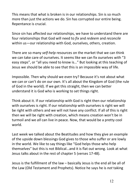This means that what is broken is in our relationships. Sin is so much more than just the actions we do. Sin has corrupted our entire being. Repentance is crucial.

Since sin has affected our relationships, we have to understand there are four relationships that God will need to *fix* and *redeem* and *reconcile* within us—our relationship with God, ourselves, others, creation.

There are so many *self-help* resources on the market that we can think we can take care of ourselves. It seems like we can fix ourselves with "3 easy steps", or "all you need to know is…" But looking at this teaching of Jesus we should be able to see that this is an impossible way of life.

Impossible. Then why should we even try? Because it's not about what we can or can't do on our own. It's all about the Kingdom of God (the rule of God in the world). If we get this straight, then we can better understand it is God who is working to set things right.

Think about it. If our relationship with God is right then our relationship with ourselves is right. If our relationship with ourselves is right we will be right with others and we will not have any conflict. If all of this is right then we will be right with creation, which means creation won't be in turmoil and we *all* can live in peace. Now, that would be a pretty cool world.

Last week we talked about the Beatitudes and how they give an example of the upside down blessings God gives to those who suffer or are lowly in the world. We like to say things like "God helps those who help themselves" but this is not Biblical…and it is flat out wrong. Look at what Jesus talks about in the rest of chapter 5 (verses 17-48).

Jesus is the fulfillment of the law – basically Jesus is the end all be all of the Law (Old Testament and Prophets). Notice he says he is *not* taking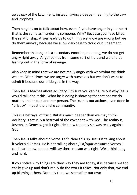away *any* of the Law. He is, instead, giving a deeper meaning to the Law and Prophets.

Then he goes on to talk about how, even if, you have anger in your heart that is the same as murdering someone. Why? Because you have killed the relationship. Anger leads us to do things we know are wrong but we do them anyway because we allow darkness to cloud our judgement.

Remember that anger is a secondary emotion, meaning, we do not get angry right away. Anger comes from some sort of hurt and we end up lashing out in the form of revenge.

Also keep in mind that we are not really angry with who/what we think we are. Often times we are angry with ourselves but we don't want to admit it because our pride gets in the way.

Then Jesus teaches about adultery. I'm sure you can figure out why Jesus would talk about this. What he is doing is showing that actions we do matter, and impact another person. The truth is our actions, even done in "privacy" impact the entire community.

This is a betrayal of trust. But it's much deeper than we may think. Adultery is actually a betrayal of the covenant with God. The reality is, Joseph, in Genesis, got it right. He knew that any sin was really against God.

Then Jesus talks about divorce. Let's clear this up. Jesus is talking about frivolous divorces. He is not talking about *just*/*right reasons* divorces. I can hear it now, people will say there reason was right. Well, think long and hard.

If you notice why things are they way they are today, it is because we too easily give up and don't really do the work it takes. Not only that, we end up blaming others. Not only that, we seek after our own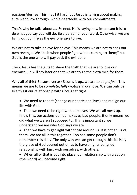passions/desires. This may hit hard, but Jesus is talking about making sure we follow through, whole-heartedly, with our commitments.

That's why he talks about *oaths* next. He is saying how important it is to do what you say you will do. Be a person of your word. Otherwise, we are living out our life as the evil one says to live.

We are not to take an eye for an eye. This means we are not to seek our own revenge. We like it when people "get what's coming to them;" but God is the one who will pay back the evil done.

Then, Jesus has the guts to share the truth that we are to love our enemies. He will say later on that we are to go the extra mile for them.

Why all of this? Because verse 48 sums it up…we are to be *perfect*. This means we are to be *complete*, *fully-mature* in our love. We can only be like this if our relationship with God is set right.

• We need to repent (change our hearts and lives) and realign our life with God.

• Then we need to be right with ourselves. We will all mess up. Know this, our actions do not makes us bad people, it only means we did what we weren't supposed to. This is important so we understand we are who God says we are.

• Then we have to get right with those around us. It is not an us vs. them. We are all in this together. Too bad some people don't remember this daily. The only way we can get through this life is by the grace of God poured out on us to have a right/realigned relationship with him, with ourselves, with others.

• When all of that is put into place, our relationship with creation (the world) will become right.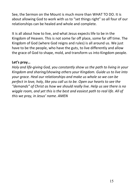See, the Sermon on the Mount is much more than WHAT TO DO. It is about allowing God to work with us to "set things right" so all four of our relationships can be healed and whole and complete.

It is all about how to live, and what Jesus expects life to be in the Kingdom of Heaven. This is not some far off place, some far off time. The Kingdom of God (where God reigns and rules) is all around us. We just have to be the people, who have the guts, to live differently and allow the grace of God to shape, mold, and transform us into Kingdom people.

#### **Let's pray…**

*Holy and life-giving God, you constantly show us the path to living in your Kingdom and sharing/showing others your Kingdom. Guide us to live into your grace. Heal our relationships and make us whole so we can be perfect in love, holy, like you call us to be. Open our hearts to see the "demands" of Christ as how we should really live. Help us see there is no wiggle room, and yet this is the best and easiest path to real life. All of this we pray, in Jesus' name. AMEN*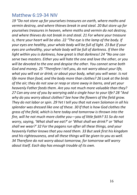## Matthew 6:19-34 NIV

*19 "Do not store up for yourselves treasures on earth, where moths and vermin destroy, and where thieves break in and steal. 20 But store up for yourselves treasures in heaven, where moths and vermin do not destroy, and where thieves do not break in and steal. 21 For where your treasure is, there your heart will be also. 22 "The eye is the lamp of the body. If your eyes are healthy, your whole body will be full of light. 23 But if your eyes are unhealthy, your whole body will be full of darkness. If then the light within you is darkness, how great is that darkness! 24 "No one can serve two masters. Either you will hate the one and love the other, or you will be devoted to the one and despise the other. You cannot serve both God and money. 25 "Therefore I tell you, do not worry about your life, what you will eat or drink; or about your body, what you will wear. Is not life more than food, and the body more than clothes? 26 Look at the birds of the air; they do not sow or reap or store away in barns, and yet your heavenly Father feeds them. Are you not much more valuable than they? 27 Can any one of you by worrying add a single hour to your life? 28 "And why do you worry about clothes? See how the flowers of the field grow. They do not labor or spin. 29 Yet I tell you that not even Solomon in all his splendor was dressed like one of these. 30 If that is how God clothes the grass of the field, which is here today and tomorrow is thrown into the fire, will he not much more clothe you—you of little faith? 31 So do not worry, saying, 'What shall we eat?' or 'What shall we drink?' or 'What shall we wear?' 32 For the pagans run after all these things, and your heavenly Father knows that you need them. 33 But seek first his kingdom and his righteousness, and all these things will be given to you as well. 34 Therefore do not worry about tomorrow, for tomorrow will worry about itself. Each day has enough trouble of its own.*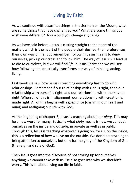# Living By Faith

As we continue with Jesus' teachings in the Sermon on the Mount, what are some things that have challenged you? What are some things you wish were different? How would you change anything?

As we have said before, Jesus is cutting straight to the heart of the matter, which is the heart of the people-their desires, their preferences, their own way of life. But remember, following Jesus means to deny ourselves, pick up our cross and follow him. The way of Jesus will lead us to die to ourselves, but we will find *life* in Jesus Christ and we will see how following him drastically transforms our way of thinking, acting, living.

Last week we saw how Jesus is teaching everything has to do with relationships. Remember if our relationship with God is right, then our relationship with ourself is right, and our relationship with others is set right. When all of this is in alignment, our relationship with creation is made right. All of this begins with *repentance* (changing our heart and mind) and realigning our life with God.

At the beginning of chapter 6, Jesus is teaching about our *piety*. This may be a new word for many. Basically what *piety* means is how we conduct ourselves on the inside and outside, in private as well as in public. Through this, Jesus is teaching whatever is going on, for us, on the inside, this is a reflection of how we live on the outside. We don't do anything to bring attention to ourselves, but only for the glory of the Kingdom of God (the reign and rule of God).

Then Jesus goes into the discourse of not storing up for ourselves anything we cannot take with us. He also goes into why we shouldn't worry. This is all about living our life in faith.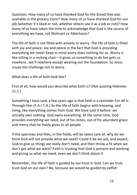Question: How many of us have thanked God for the bread that was available in the grocery store? How many of us have thanked God for our job (whether it's liked or not, whether others see it as a job or not)? How many of us have taken the time to acknowledge that God is the source of everything we have, not Walmart or Albertsons?

The life of faith is not filled with anxiety or worry. The life of faith is filled with joy and peace. Joy and peace in the fact that God is providing everything we need! Keep in mind worry does nothing for us. Worry is like sitting in a rocking chair—it gives us something to do but gets us nowhere…we'll nowhere except wearing out the foundation. So Jesus issues the challenge not to worry.

What does a life of faith look like?

First of all, how would you describe what faith is? (Not quoting Hebrews 11:1.)

Something I have said, a few years ago is that faith is a reminder For All Is Through Him (F.A.I.T.H.) So the life of faith begins with knowing, and living, like everything comes from God. We have said it before: we actually *own* nothing. God owns everything. At the same time, God provides everything we need, out of his riches, out of his abundant grace and mercy that he freely gives to all people.

If the sparrows and lilies, in the fields, will be taken care of, why do we think God will not provide what we need? Could it be we ask, and expect, God to give us things we really don't need, and then throw a fit when we don't get what we want? Faith is trusting that God is present and working and giving us what we need, even we don't think about it.

Remember, the life of faith is guided by our trust in God. Can we truly trust God on our own? No, because we would be guided by selfish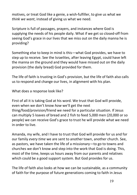motives, or treat God like a genie, a wish-fulfiller, to give us what we *think we want*, instead of giving us what we need.

Scripture is full of passages, prayers, and instances where God is supplying the needs of his people daily. What if we get so closed-off from seeing God's grace in our lives that we miss out on the daily manna he is providing?

Something else to keep in mind is this—what God provides, we have to step up to receive. See the Israelites, after leaving Egypt, could have left the manna on the ground and they would have missed out on the daily provision (the daily bread) God provided for them.

The life of faith is trusting in God's provision, but the life of faith also calls us to respond and change our lives, in alignment with his plan.

What does a response look like?

First of all it is taking God at his word. We trust that God will provide, even when we don't know *how* we'll get the next thing/food/provision/friend we need for a particular situation. If Jesus can multiply 5 loaves of bread and 2 fish to feed 5,000 men (20,000 or so people) we can receive God's grace to trust he will provide what we need in order to live.

Amanda, my wife, and I have to trust that God will provide for us and for our family *every time* we are sent to another town, another church. See, as pastors, we have taken the life of a missionary—to go to towns and churches we don't know and step into the work that God is doing. This, most of the time, keeps us hours away from our parents and relatives which could be a good support system. But God provides for us.

The life of faith also looks at how we can be sustainable, as a community of faith for the purpose of future generations coming to faith in Jesus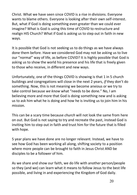Christ. What we have seen since COVID is a rise in divisions. Everyone wants to blame others. Everyone is looking after their own self-interest. But, what if God is doing something even greater than we could ever imagine? What is God is using this time of COVID to restructure and realign HIS Church? What if God is asking us to step out in faith in new ways.

It is possible that God is not seeking us to do things as we have always done them before. Have we considered God may not be asking us to live our "normal" way of life, as before COVID? It is highly possible that God is asking us to show the world his presence and his life that is freely given to those who receive, in different and new ways.

Unfortunately, one of the things COVID is showing is that 1 in 5 church buildings and congregations will close in the next 2 years, *if* they don't do something. Now, this is not meaning we become anxious or we try to take control because *we know* what "needs to be done." No, I am believing more and more that God is doing something new and is asking us to ask him what he is doing and how he is inviting us to join him in his mission.

This can be a scary time because *church* will not look the same from here on out. But God is not saying to try and recreate the past, instead God is inviting him to step out in faith and trust him for the future that is filled with hope.

5 year plans we have done are no longer relevant. Instead, we have to see how God has been working all along, shifting society to a position where more people can be brought to faith in Jesus Christ AND be disciples to be a follower of him.

As we share and show our faith, we do life with another person/people so they (and we) can learn what it means to follow Jesus to the best life possible, and living in and experiencing the Kingdom of God daily.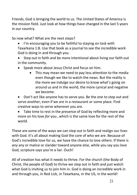Friends, God is bringing the world to us. The United States of America is the mission field. Just look at how things have changed in the last 5 years in our country.

So now what? What are the next steps?

- I'm encouraging you to be faithful to staying on task with Texarkana 1:8. Use that book as a journal to see the incredible work God is doing in and through you.
- Step out in faith and be more intentional about living our faith out in the community.
- Speak more about Jesus Christ and focus on him.
	- This may mean we need to pay less attention to the media even though we like to watch the news. But the reality is the more we indulge our desire to know what's going on around us and in the world, the more cynical and negative we become.

• Don't act like anyone has to serve you. Be the one to step out and serve another, even if we are in a restaurant or some place. Find creative ways to serve wherever you are.

Take time to rest in the presence of God by reflecting more and more on his love *for* you…which is the same love for the rest of the world.

These are some of the ways we can step out in faith and realign our lives with God. It's all about making God the core of who we are. Because of God's incredible love for us, we have the chance to love others. If there is *any* any or malice or slander toward anyone else, while you say you love God, scripture says you're a liar. Ouch!

All of creation has what it needs to thrive. For the church (the Body of Christ, the people of God) to thrive we step out in faith and just watch what God is inviting us to join him in. God is doing an incredible work in and through you, in Red Lick, in Texarkana, in the US, in the world!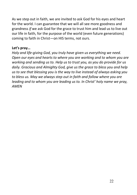As we step out in faith, we are invited to ask God for his eyes and heart for the world. I can guarantee that we will all see more goodness and grandness *if* we ask God for the grace to trust him and lead us to live out our life in faith, for the purpose of the world (even future generations) coming to faith in Christ—on HIS terms, not ours.

#### **Let's pray…**

*Holy and life-giving God, you truly have given us everything we need. Open our eyes and hearts to where you are working and to whom you are working and sending us to. Help us to trust you, as you do provide for us daily. Gracious and Almighty God, give us the grace to bless you and help us to see that blessing you is the way to live instead of always asking you to bless us. May we always step out in faith and follow where you are leading and to whom you are leading us to. In Christ' holy name we pray, AMEN*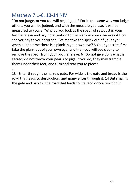## Matthew 7:1-6, 13-14 NIV

"Do not judge, or you too will be judged. 2 For in the same way you judge others, you will be judged, and with the measure you use, it will be measured to you. 3 "Why do you look at the speck of sawdust in your brother's eye and pay no attention to the plank in your own eye? 4 How can you say to your brother, 'Let me take the speck out of your eye,' when all the time there is a plank in your own eye? 5 You hypocrite, first take the plank out of your own eye, and then you will see clearly to remove the speck from your brother's eye. 6 "Do not give dogs what is sacred; do not throw your pearls to pigs. If you do, they may trample them under their feet, and turn and tear you to pieces.

…

13 "Enter through the narrow gate. For wide is the gate and broad is the road that leads to destruction, and many enter through it. 14 But small is the gate and narrow the road that leads to life, and only a few find it.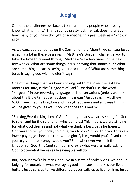# Judging

One of the challenges we face is there are many people who already know what is "right." That's sounds pretty judgmental, doesn't it? But how many of you have thought of someone, this past week as a "know it all?"

As we conclude our series on the Sermon on the Mount, we can see Jesus is saying a lot in these passages in Matthew's Gospel. I challenge you to take the time to re-read through Matthew 5-7 a few times in the next few weeks. What are some things Jesus is saying that stands out? What are some things Jesus is saying you need to hear? What are some things Jesus is saying you wish he didn't say?

One of the things that has been sticking out to me, over the last few months for sure, is the "Kingdom of God." We don't use the word "kingdom" in our everyday language and conversations (unless we talk about the Bible  $\mathbb{O}$ ). But what does this mean? Jesus says in Matthew 6:33, "seek first his kingdom and his righteousness and all these things will be given to you as well." So what does this mean?

"Seeking *first* the kingdom of God" simply means we are seeking for God to reign and be the ruler of all—including us! This means we are striving for what God desires and not what we think is best. Let's be honest, if God were to tell you today to move, would you? If God told you to take a lower paying job because that would glorify him, would you? If God told you to give more money, would you? See, whenever we seek the kingdom of God, this (and so much more) is what we are really asking God to do—what we're really saying we will do.

But, because we're humans, and live in a state of brokenness, we end up judging for ourselves what we say is good—because it makes our lives better. Jesus calls us to live differently. Jesus calls us to live for him. Jesus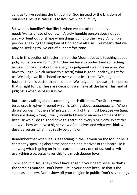calls us to live seeking the kingdom of God instead of the kingdom of ourselves. Jesus is calling us to live lives with humility.

So, what is humility? Humility is when we put other people's needs/wants ahead of our own. A truly humble person does not get angry or bent out of shape when things don't go their way. A humble person is seeking the kingdom of God above all else. This means that we may be seeking to live out of our comfort zone.

Now in this section of the Sermon on the Mount, Jesus is teaching about judging. Before we go much further we have to understand something. Jesus is *not* talking about the everyday judgments we do everyday. We have to judge (which means to discern) what is good, healthy, right for us. We judge we like chocolate over vanilla ice cream. We judge one football team is better than all others. We judge our spouse as the person that is right for us. These are decisions we make all the time. This kind of judging is what helps us survive.

But Jesus is talking about something much different. The Greek word Jesus uses is κρίνω (kreeno) which is talking about *condemnation*. When do we condemn others? When we think ill of them just because we *think* they are doing wrong. I really shouldn't have to name examples of this because we all do this and have this attitude every single day. What this shows is how we have a higher view of ourselves and what we think we deserve versus what may really be going on.

Remember that when Jesus is teaching in the Sermon on the Mount he is constantly speaking about the condition and motives of the heart. He is showing what is going on inside each and every one of us. And as with everything else, Jesus takes this to a much deeper level.

Think about it. Jesus says don't have anger in your heart because that's the same as murder. Don't have lust in your heart because that's the same as adultery. Don't show off your religion in public. Don't save things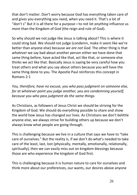that don't matter. Don't worry because God has everything taken care of and gives you everything you need, when you need it. That's a lot of "don't s" But it is all there for a purpose—to not let *anything* influence us *more* than the Kingdom of God (the reign and rule of God).

So why should we not judge like Jesus is talking about? This is where it could sting bad. We should not judge (condemn, make it seem like we're better than anyone else) because *we are not God.* The other thing is that *whatever* we say bad about another person either we have done that same thing before, have acted like that, act like that, or someone else thinks we act like that. Basically Jesus is saying be very careful how you treat others and what you say about others because you will have the same thing done to you. The Apostle Paul reinforces this concept in Romans 2:1

*You, therefore, have no excuse, you who pass judgment on someone else, for at whatever point you judge another, you are condemning yourself, because you who pass judgment do the same things.*

As Christians, as followers of Jesus Christ we should be striving for the Kingdom of God. We should do *everything* possible to share and show the world how Jesus has changed our lives. As Christians we don't belittle anyone else, we always strive for building others up because we don't always know what people are going through.

This is challenging because we live in a culture that says we have to "take care of ourselves." But the reality is, if we don't do what's needed to take care of the least, last, lost (physically, mentally, emotionally, relationally, spiritually), then we can easily miss out on kingdom blessings because those are who experience the kingdom of God first.

This is challenging because it is human nature to care for ourselves and think more about our preferences, our wants, our desires above anyone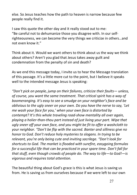else. So Jesus teaches how the path to heaven is narrow because few people really find it.

I saw this quote the other day and it really stood out to me: "Be careful not to dehumanize those you disagree with. In our selfrighteousness, we can become the very things we criticize in others…and not even know it."

Think about it. Would we want others to think about us the way we think about others? Aren't you glad that Jesus takes away guilt and condemnation from the penalty of sin and death?

As we end this message today, I invite us to hear the Message translation of this passage. It's a little more cut to the point, but I believe it speaks well to the intended message Jesus is speaking:

*"Don't pick on people, jump on their failures, criticize their faults— unless, of course, you want the same treatment. That critical spirit has a way of boomeranging. It's easy to see a smudge on your neighbor's face and be oblivious to the ugly sneer on your own. Do you have the nerve to say, 'Let me wash your face for you,' when your own face is distorted by contempt? It's this whole traveling road-show mentality all over again, playing a holier-than-thou part instead of just living your part. Wipe that ugly sneer off your own face, and you might be fit to offer a washcloth to your neighbor. "Don't be flip with the sacred. Banter and silliness give no honor to God. Don't reduce holy mysteries to slogans. In trying to be relevant, you're only being cute and inviting sacrilege. "Don't look for shortcuts to God. The market is flooded with surefire, easygoing formulas for a successful life that can be practiced in your spare time. Don't fall for that stuff, even though crowds of people do. The way to life—to God!—is vigorous and requires total attention.*

The beautiful thing about God's grace is this is what Jesus is saving us from. He is saving us from ourselves because if we were left to our own